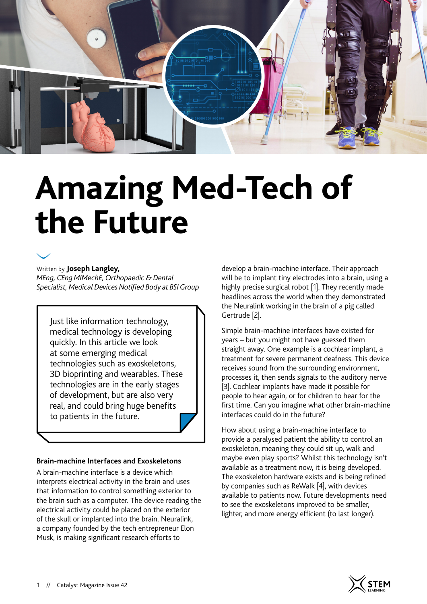

# **Amazing Med-Tech of the Future**



Written by **Joseph Langley,**  *MEng, CEng MIMechE, Orthopaedic & Dental Specialist, Medical Devices Notified Body at BSI Group*

Just like information technology, medical technology is developing quickly. In this article we look at some emerging medical technologies such as exoskeletons, 3D bioprinting and wearables. These technologies are in the early stages of development, but are also very real, and could bring huge benefits to patients in the future.

## **Brain-machine Interfaces and Exoskeletons**

A brain-machine interface is a device which interprets electrical activity in the brain and uses that information to control something exterior to the brain such as a computer. The device reading the electrical activity could be placed on the exterior of the skull or implanted into the brain. Neuralink, a company founded by the tech entrepreneur Elon Musk, is making significant research efforts to

develop a brain-machine interface. Their approach will be to implant tiny electrodes into a brain, using a highly precise surgical robot [1]. They recently made headlines across the world when they demonstrated the Neuralink working in the brain of a pig called Gertrude [2].

Simple brain-machine interfaces have existed for years – but you might not have guessed them straight away. One example is a cochlear implant, a treatment for severe permanent deafness. This device receives sound from the surrounding environment, processes it, then sends signals to the auditory nerve [3]. Cochlear implants have made it possible for people to hear again, or for children to hear for the first time. Can you imagine what other brain-machine interfaces could do in the future?

How about using a brain-machine interface to provide a paralysed patient the ability to control an exoskeleton, meaning they could sit up, walk and maybe even play sports? Whilst this technology isn't available as a treatment now, it is being developed. The exoskeleton hardware exists and is being refined by companies such as ReWalk [4], with devices available to patients now. Future developments need to see the exoskeletons improved to be smaller, lighter, and more energy efficient (to last longer).

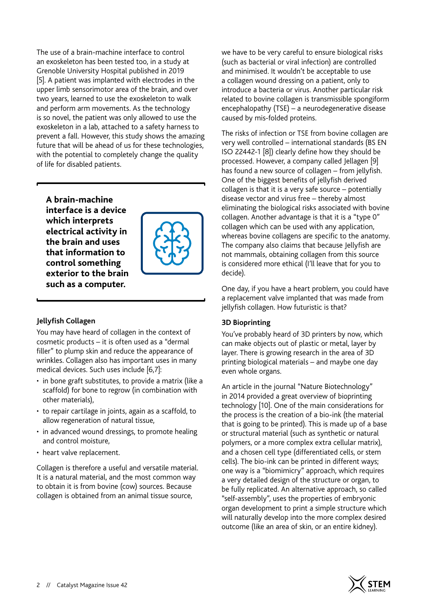The use of a brain-machine interface to control an exoskeleton has been tested too, in a study at Grenoble University Hospital published in 2019 [5]. A patient was implanted with electrodes in the upper limb sensorimotor area of the brain, and over two years, learned to use the exoskeleton to walk and perform arm movements. As the technology is so novel, the patient was only allowed to use the exoskeleton in a lab, attached to a safety harness to prevent a fall. However, this study shows the amazing future that will be ahead of us for these technologies, with the potential to completely change the quality of life for disabled patients.

**A brain-machine interface is a device which interprets electrical activity in the brain and uses that information to control something exterior to the brain such as a computer.**



# **Jellyfish Collagen**

You may have heard of collagen in the context of cosmetic products – it is often used as a "dermal filler" to plump skin and reduce the appearance of wrinkles. Collagen also has important uses in many medical devices. Such uses include [6,7]:

- in bone graft substitutes, to provide a matrix (like a scaffold) for bone to regrow (in combination with other materials),
- to repair cartilage in joints, again as a scaffold, to allow regeneration of natural tissue,
- in advanced wound dressings, to promote healing and control moisture,
- heart valve replacement.

Collagen is therefore a useful and versatile material. It is a natural material, and the most common way to obtain it is from bovine (cow) sources. Because collagen is obtained from an animal tissue source,

we have to be very careful to ensure biological risks (such as bacterial or viral infection) are controlled and minimised. It wouldn't be acceptable to use a collagen wound dressing on a patient, only to introduce a bacteria or virus. Another particular risk related to bovine collagen is transmissible spongiform encephalopathy (TSE) – a neurodegenerative disease caused by mis-folded proteins.

The risks of infection or TSE from bovine collagen are very well controlled – international standards (BS EN ISO 22442-1 [8]) clearly define how they should be processed. However, a company called Jellagen [9] has found a new source of collagen – from jellyfish. One of the biggest benefits of jellyfish derived collagen is that it is a very safe source – potentially disease vector and virus free – thereby almost eliminating the biological risks associated with bovine collagen. Another advantage is that it is a "type 0" collagen which can be used with any application, whereas bovine collagens are specific to the anatomy. The company also claims that because Jellyfish are not mammals, obtaining collagen from this source is considered more ethical (I'll leave that for you to decide).

One day, if you have a heart problem, you could have a replacement valve implanted that was made from jellyfish collagen. How futuristic is that?

## **3D Bioprinting**

You've probably heard of 3D printers by now, which can make objects out of plastic or metal, layer by layer. There is growing research in the area of 3D printing biological materials – and maybe one day even whole organs.

An article in the journal "Nature Biotechnology" in 2014 provided a great overview of bioprinting technology [10]. One of the main considerations for the process is the creation of a bio-ink (the material that is going to be printed). This is made up of a base or structural material (such as synthetic or natural polymers, or a more complex extra cellular matrix), and a chosen cell type (differentiated cells, or stem cells). The bio-ink can be printed in different ways; one way is a "biomimicry" approach, which requires a very detailed design of the structure or organ, to be fully replicated. An alternative approach, so called "self-assembly", uses the properties of embryonic organ development to print a simple structure which will naturally develop into the more complex desired outcome (like an area of skin, or an entire kidney).

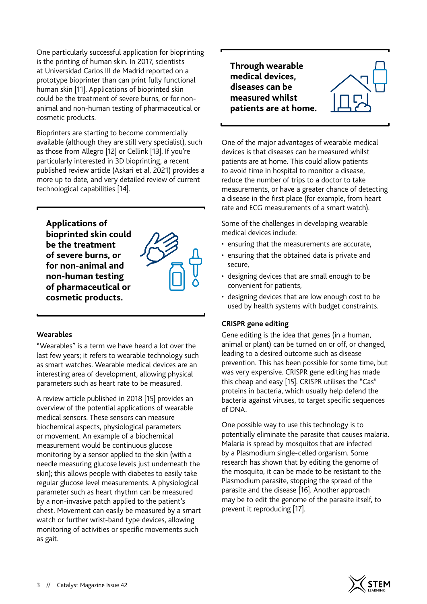One particularly successful application for bioprinting is the printing of human skin. In 2017, scientists at Universidad Carlos III de Madrid reported on a prototype bioprinter than can print fully functional human skin [11]. Applications of bioprinted skin could be the treatment of severe burns, or for nonanimal and non-human testing of pharmaceutical or cosmetic products.

Bioprinters are starting to become commercially available (although they are still very specialist), such as those from Allegro [12] or Cellink [13]. If you're particularly interested in 3D bioprinting, a recent published review article (Askari et al, 2021) provides a more up to date, and very detailed review of current technological capabilities [14].

**Applications of** 

**bioprinted skin could be the treatment of severe burns, or for non-animal and non-human testing of pharmaceutical or cosmetic products.**



## **Wearables**

"Wearables" is a term we have heard a lot over the last few years; it refers to wearable technology such as smart watches. Wearable medical devices are an interesting area of development, allowing physical parameters such as heart rate to be measured.

A review article published in 2018 [15] provides an overview of the potential applications of wearable medical sensors. These sensors can measure biochemical aspects, physiological parameters or movement. An example of a biochemical measurement would be continuous glucose monitoring by a sensor applied to the skin (with a needle measuring glucose levels just underneath the skin); this allows people with diabetes to easily take regular glucose level measurements. A physiological parameter such as heart rhythm can be measured by a non-invasive patch applied to the patient's chest. Movement can easily be measured by a smart watch or further wrist-band type devices, allowing monitoring of activities or specific movements such as gait.

**Through wearable medical devices, diseases can be measured whilst patients are at home.**

One of the major advantages of wearable medical devices is that diseases can be measured whilst patients are at home. This could allow patients to avoid time in hospital to monitor a disease, reduce the number of trips to a doctor to take measurements, or have a greater chance of detecting a disease in the first place (for example, from heart rate and ECG measurements of a smart watch).

Some of the challenges in developing wearable medical devices include:

- ensuring that the measurements are accurate,
- ensuring that the obtained data is private and secure,
- designing devices that are small enough to be convenient for patients,
- designing devices that are low enough cost to be used by health systems with budget constraints.

## **CRISPR gene editing**

Gene editing is the idea that genes (in a human, animal or plant) can be turned on or off, or changed, leading to a desired outcome such as disease prevention. This has been possible for some time, but was very expensive. CRISPR gene editing has made this cheap and easy [15]. CRISPR utilises the "Cas" proteins in bacteria, which usually help defend the bacteria against viruses, to target specific sequences of DNA.

One possible way to use this technology is to potentially eliminate the parasite that causes malaria. Malaria is spread by mosquitos that are infected by a Plasmodium single-celled organism. Some research has shown that by editing the genome of the mosquito, it can be made to be resistant to the Plasmodium parasite, stopping the spread of the parasite and the disease [16]. Another approach may be to edit the genome of the parasite itself, to prevent it reproducing [17].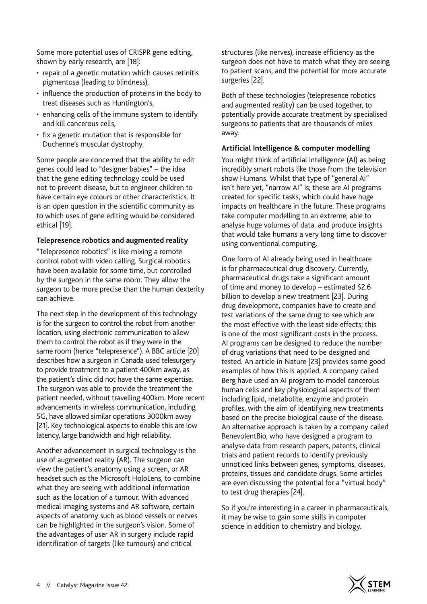Some more potential uses of CRISPR gene editing, shown by early research, are [18]:

- repair of a genetic mutation which causes retinitis pigmentosa (leading to blindness),
- influence the production of proteins in the body to treat diseases such as Huntington's,
- enhancing cells of the immune system to identify and kill cancerous cells,
- fix a genetic mutation that is responsible for Duchenne's muscular dystrophy.

Some people are concerned that the ability to edit genes could lead to "designer babies" – the idea that the gene editing technology could be used not to prevent disease, but to engineer children to have certain eye colours or other characteristics. It is an open question in the scientific community as to which uses of gene editing would be considered ethical [19].

#### **Telepresence robotics and augmented reality**

"Telepresence robotics" is like mixing a remote control robot with video calling. Surgical robotics have been available for some time, but controlled by the surgeon in the same room. They allow the surgeon to be more precise than the human dexterity can achieve.

The next step in the development of this technology is for the surgeon to control the robot from another location, using electronic communication to allow them to control the robot as if they were in the same room (hence "telepresence"). A BBC article [20] describes how a surgeon in Canada used telesurgery to provide treatment to a patient 400km away, as the patient's clinic did not have the same expertise. The surgeon was able to provide the treatment the patient needed, without travelling 400km. More recent advancements in wireless communication, including 5G, have allowed similar operations 3000km away [21]. Key technological aspects to enable this are low latency, large bandwidth and high reliability.

Another advancement in surgical technology is the use of augmented reality (AR). The surgeon can view the patient's anatomy using a screen, or AR headset such as the Microsoft HoloLens, to combine what they are seeing with additional information such as the location of a tumour. With advanced medical imaging systems and AR software, certain aspects of anatomy such as blood vessels or nerves can be highlighted in the surgeon's vision. Some of the advantages of user AR in surgery include rapid identification of targets (like tumours) and critical

structures (like nerves), increase efficiency as the surgeon does not have to match what they are seeing to patient scans, and the potential for more accurate surgeries [22].

Both of these technologies (telepresence robotics and augmented reality) can be used together, to potentially provide accurate treatment by specialised surgeons to patients that are thousands of miles away.

## **Artificial Intelligence & computer modelling**

You might think of artificial intelligence (AI) as being incredibly smart robots like those from the television show Humans. Whilst that type of "general AI" isn't here yet, "narrow AI" is; these are AI programs created for specific tasks, which could have huge impacts on healthcare in the future. These programs take computer modelling to an extreme; able to analyse huge volumes of data, and produce insights that would take humans a very long time to discover using conventional computing.

One form of AI already being used in healthcare is for pharmaceutical drug discovery. Currently, pharmaceutical drugs take a significant amount of time and money to develop – estimated \$2.6 billion to develop a new treatment [23]. During drug development, companies have to create and test variations of the same drug to see which are the most effective with the least side effects; this is one of the most significant costs in the process. AI programs can be designed to reduce the number of drug variations that need to be designed and tested. An article in Nature [23] provides some good examples of how this is applied. A company called Berg have used an AI program to model cancerous human cells and key physiological aspects of them including lipid, metabolite, enzyme and protein profiles, with the aim of identifying new treatments based on the precise biological cause of the disease. An alternative approach is taken by a company called BenevolentBio, who have designed a program to analyse data from research papers, patents, clinical trials and patient records to identify previously unnoticed links between genes, symptoms, diseases, proteins, tissues and candidate drugs. Some articles are even discussing the potential for a "virtual body" to test drug therapies [24].

So if you're interesting in a career in pharmaceuticals, it may be wise to gain some skills in computer science in addition to chemistry and biology.